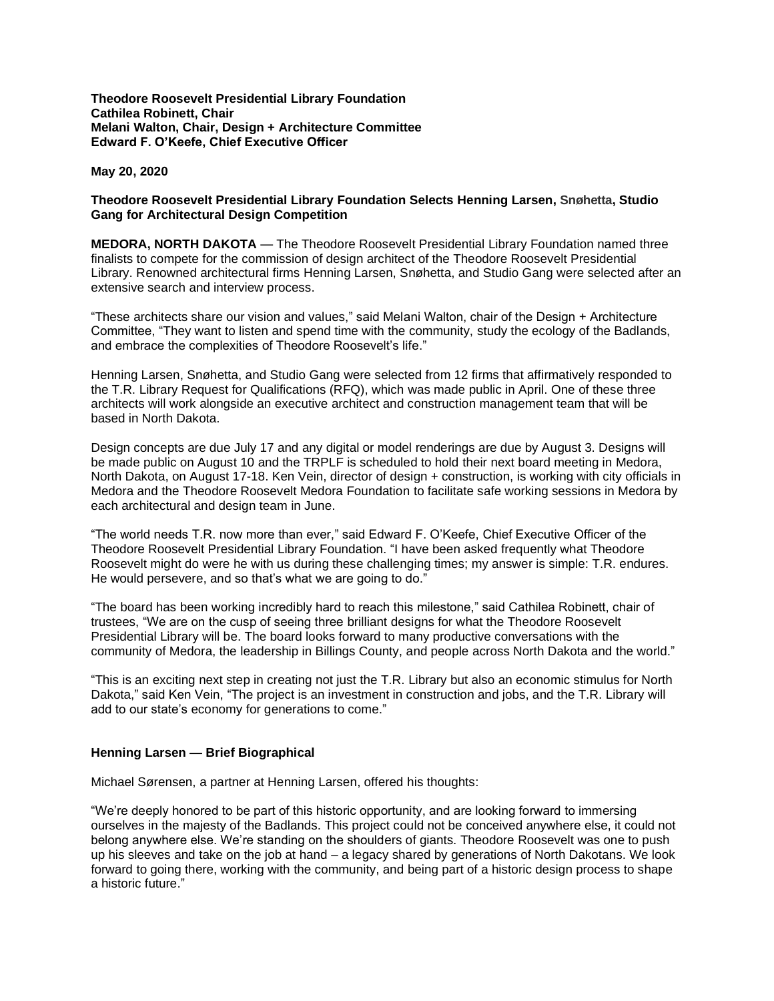**Theodore Roosevelt Presidential Library Foundation Cathilea Robinett, Chair Melani Walton, Chair, Design + Architecture Committee Edward F. O'Keefe, Chief Executive Officer**

**May 20, 2020**

## **Theodore Roosevelt Presidential Library Foundation Selects Henning Larsen, Snøhetta, Studio Gang for Architectural Design Competition**

**MEDORA, NORTH DAKOTA** — The Theodore Roosevelt Presidential Library Foundation named three finalists to compete for the commission of design architect of the Theodore Roosevelt Presidential Library. Renowned architectural firms Henning Larsen, Snøhetta, and Studio Gang were selected after an extensive search and interview process.

"These architects share our vision and values," said Melani Walton, chair of the Design + Architecture Committee, "They want to listen and spend time with the community, study the ecology of the Badlands, and embrace the complexities of Theodore Roosevelt's life."

Henning Larsen, Snøhetta, and Studio Gang were selected from 12 firms that affirmatively responded to the T.R. Library Request for Qualifications (RFQ), which was made public in April. One of these three architects will work alongside an executive architect and construction management team that will be based in North Dakota.

Design concepts are due July 17 and any digital or model renderings are due by August 3. Designs will be made public on August 10 and the TRPLF is scheduled to hold their next board meeting in Medora, North Dakota, on August 17-18. Ken Vein, director of design + construction, is working with city officials in Medora and the Theodore Roosevelt Medora Foundation to facilitate safe working sessions in Medora by each architectural and design team in June.

"The world needs T.R. now more than ever," said Edward F. O'Keefe, Chief Executive Officer of the Theodore Roosevelt Presidential Library Foundation. "I have been asked frequently what Theodore Roosevelt might do were he with us during these challenging times; my answer is simple: T.R. endures. He would persevere, and so that's what we are going to do."

"The board has been working incredibly hard to reach this milestone," said Cathilea Robinett, chair of trustees, "We are on the cusp of seeing three brilliant designs for what the Theodore Roosevelt Presidential Library will be. The board looks forward to many productive conversations with the community of Medora, the leadership in Billings County, and people across North Dakota and the world."

"This is an exciting next step in creating not just the T.R. Library but also an economic stimulus for North Dakota," said Ken Vein, "The project is an investment in construction and jobs, and the T.R. Library will add to our state's economy for generations to come."

## **Henning Larsen — Brief Biographical**

Michael Sørensen, a partner at Henning Larsen, offered his thoughts:

"We're deeply honored to be part of this historic opportunity, and are looking forward to immersing ourselves in the majesty of the Badlands. This project could not be conceived anywhere else, it could not belong anywhere else. We're standing on the shoulders of giants. Theodore Roosevelt was one to push up his sleeves and take on the job at hand – a legacy shared by generations of North Dakotans. We look forward to going there, working with the community, and being part of a historic design process to shape a historic future."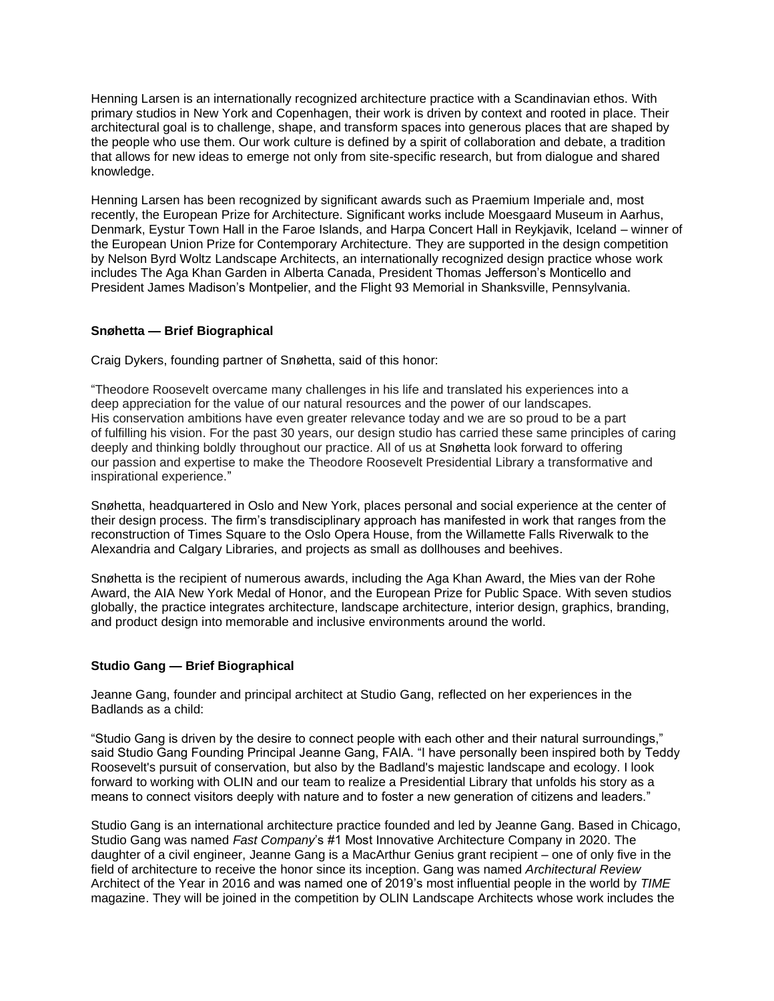Henning Larsen is an internationally recognized architecture practice with a Scandinavian ethos. With primary studios in New York and Copenhagen, their work is driven by context and rooted in place. Their architectural goal is to challenge, shape, and transform spaces into generous places that are shaped by the people who use them. Our work culture is defined by a spirit of collaboration and debate, a tradition that allows for new ideas to emerge not only from site-specific research, but from dialogue and shared knowledge.

Henning Larsen has been recognized by significant awards such as Praemium Imperiale and, most recently, the European Prize for Architecture. Significant works include Moesgaard Museum in Aarhus, Denmark, Eystur Town Hall in the Faroe Islands, and Harpa Concert Hall in Reykjavik, Iceland – winner of the European Union Prize for Contemporary Architecture. They are supported in the design competition by Nelson Byrd Woltz Landscape Architects, an internationally recognized design practice whose work includes The Aga Khan Garden in Alberta Canada, President Thomas Jefferson's Monticello and President James Madison's Montpelier, and the Flight 93 Memorial in Shanksville, Pennsylvania.

## **Snøhetta — Brief Biographical**

Craig Dykers, founding partner of Snøhetta, said of this honor:

"Theodore Roosevelt overcame many challenges in his life and translated his experiences into a deep appreciation for the value of our natural resources and the power of our landscapes. His conservation ambitions have even greater relevance today and we are so proud to be a part of fulfilling his vision. For the past 30 years, our design studio has carried these same principles of caring deeply and thinking boldly throughout our practice. All of us at Snøhetta look forward to offering our passion and expertise to make the Theodore Roosevelt Presidential Library a transformative and inspirational experience."

Snøhetta, headquartered in Oslo and New York, places personal and social experience at the center of their design process. The firm's transdisciplinary approach has manifested in work that ranges from the reconstruction of Times Square to the Oslo Opera House, from the Willamette Falls Riverwalk to the Alexandria and Calgary Libraries, and projects as small as dollhouses and beehives.

Snøhetta is the recipient of numerous awards, including the Aga Khan Award, the Mies van der Rohe Award, the AIA New York Medal of Honor, and the European Prize for Public Space. With seven studios globally, the practice integrates architecture, landscape architecture, interior design, graphics, branding, and product design into memorable and inclusive environments around the world.

## **Studio Gang — Brief Biographical**

Jeanne Gang, founder and principal architect at Studio Gang, reflected on her experiences in the Badlands as a child:

"Studio Gang is driven by the desire to connect people with each other and their natural surroundings," said Studio Gang Founding Principal Jeanne Gang, FAIA. "I have personally been inspired both by Teddy Roosevelt's pursuit of conservation, but also by the Badland's majestic landscape and ecology. I look forward to working with OLIN and our team to realize a Presidential Library that unfolds his story as a means to connect visitors deeply with nature and to foster a new generation of citizens and leaders."

Studio Gang is an international architecture practice founded and led by Jeanne Gang. Based in Chicago, Studio Gang was named *Fast Company*'s #1 Most Innovative Architecture Company in 2020. The daughter of a civil engineer, Jeanne Gang is a MacArthur Genius grant recipient – one of only five in the field of architecture to receive the honor since its inception. Gang was named *Architectural Review* Architect of the Year in 2016 and was named one of 2019's most influential people in the world by *TIME* magazine. They will be joined in the competition by OLIN Landscape Architects whose work includes the